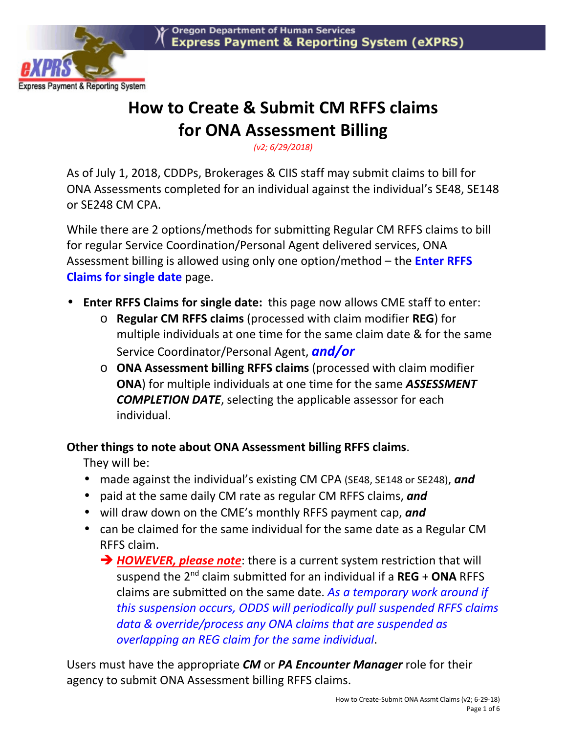

# **How to Create & Submit CM RFFS claims for ONA Assessment Billing**

*(v2; 6/29/2018)* 

As of July 1, 2018, CDDPs, Brokerages & CIIS staff may submit claims to bill for ONA Assessments completed for an individual against the individual's SE48, SE148 or SE248 CM CPA.

While there are 2 options/methods for submitting Regular CM RFFS claims to bill for regular Service Coordination/Personal Agent delivered services, ONA Assessment billing is allowed using only one option/method – the **Enter RFFS Claims for single date** page.

- **Enter RFFS Claims for single date:** this page now allows CME staff to enter:
	- o **Regular CM RFFS claims** (processed with claim modifier **REG**) for multiple individuals at one time for the same claim date & for the same Service Coordinator/Personal Agent, *and/or*
	- o **ONA Assessment billing RFFS claims** (processed with claim modifier **ONA**) for multiple individuals at one time for the same *ASSESSMENT COMPLETION DATE*, selecting the applicable assessor for each individual.

### **Other things to note about ONA Assessment billing RFFS claims**.

They will be:

- made against the individual's existing CM CPA (SE48, SE148 or SE248), *and*
- paid at the same daily CM rate as regular CM RFFS claims, *and*
- will draw down on the CME's monthly RFFS payment cap, *and*
- can be claimed for the same individual for the same date as a Regular CM RFFS claim.
	- → **HOWEVER, please note**: there is a current system restriction that will suspend the 2nd claim submitted for an individual if a **REG** + **ONA** RFFS claims are submitted on the same date. *As a temporary work around if this suspension occurs, ODDS will periodically pull suspended RFFS claims data & override/process any ONA claims that are suspended as overlapping an REG claim for the same individual*.

Users must have the appropriate *CM* or *PA Encounter Manager* role for their agency to submit ONA Assessment billing RFFS claims.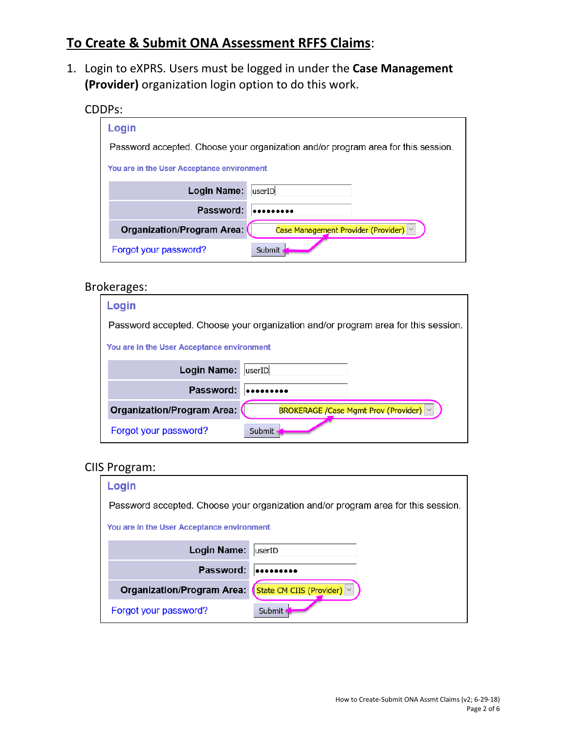# **To Create & Submit ONA Assessment RFFS Claims**:

1. Login to eXPRS. Users must be logged in under the **Case Management (Provider)** organization login option to do this work.

CDDPs:

| Login                                                                             |                                       |  |  |  |  |  |
|-----------------------------------------------------------------------------------|---------------------------------------|--|--|--|--|--|
| Password accepted. Choose your organization and/or program area for this session. |                                       |  |  |  |  |  |
| You are in the User Acceptance environment                                        |                                       |  |  |  |  |  |
| Login Name:                                                                       | userID                                |  |  |  |  |  |
| Password:                                                                         |                                       |  |  |  |  |  |
| <b>Organization/Program Area:</b>                                                 | Case Management Provider (Provider) v |  |  |  |  |  |
| Forgot your password?                                                             | Submit                                |  |  |  |  |  |

#### Brokerages:

| Login                                                                             |                                           |  |  |  |  |  |
|-----------------------------------------------------------------------------------|-------------------------------------------|--|--|--|--|--|
| Password accepted. Choose your organization and/or program area for this session. |                                           |  |  |  |  |  |
| You are in the User Acceptance environment                                        |                                           |  |  |  |  |  |
| Login Name:                                                                       | userID                                    |  |  |  |  |  |
| Password:                                                                         |                                           |  |  |  |  |  |
| <b>Organization/Program Area:</b>                                                 | BROKERAGE / Case Mgmt Prov (Provider)   v |  |  |  |  |  |
| Forgot your password?                                                             | Submit                                    |  |  |  |  |  |

#### CIIS Program:

| Login                                                                             |                            |  |  |  |  |  |
|-----------------------------------------------------------------------------------|----------------------------|--|--|--|--|--|
| Password accepted. Choose your organization and/or program area for this session. |                            |  |  |  |  |  |
| You are in the User Acceptance environment                                        |                            |  |  |  |  |  |
| <b>Login Name:</b>                                                                | luserID                    |  |  |  |  |  |
| Password:                                                                         |                            |  |  |  |  |  |
| <b>Organization/Program Area:</b>                                                 | State CM CIIS (Provider) × |  |  |  |  |  |
| Forgot your password?                                                             | <b>Submit</b>              |  |  |  |  |  |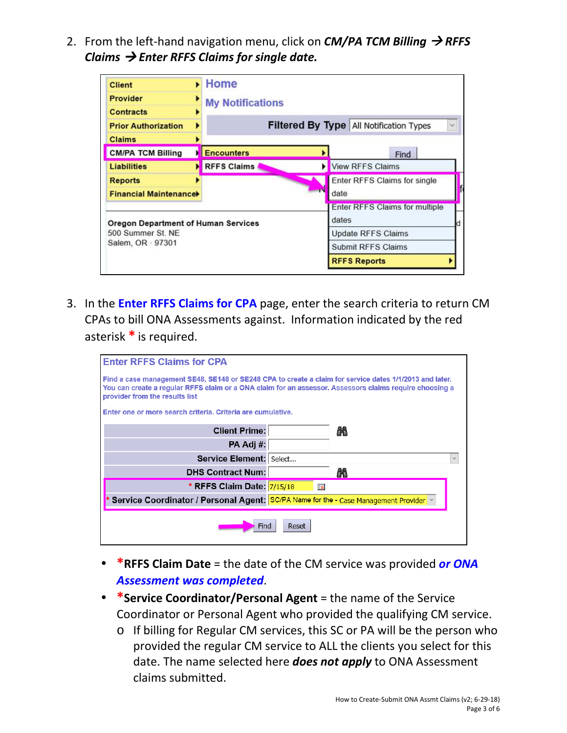2. From the left-hand navigation menu, click on *CM*/PA TCM Billing → RFFS *Claims* - *Enter RFFS Claims for single date.* 

| <b>Client</b>                              |  | Home                    |                                                                |                                |  |  |  |  |  |
|--------------------------------------------|--|-------------------------|----------------------------------------------------------------|--------------------------------|--|--|--|--|--|
| <b>Provider</b>                            |  | <b>My Notifications</b> |                                                                |                                |  |  |  |  |  |
| <b>Contracts</b>                           |  |                         |                                                                |                                |  |  |  |  |  |
| <b>Prior Authorization</b>                 |  |                         | <b>Filtered By Type All Notification Types</b><br>$\checkmark$ |                                |  |  |  |  |  |
| <b>Claims</b>                              |  |                         |                                                                |                                |  |  |  |  |  |
| <b>CM/PA TCM Billing</b>                   |  | <b>Encounters</b>       |                                                                | Find                           |  |  |  |  |  |
| <b>Liabilities</b>                         |  | <b>RFFS Claims</b>      |                                                                | <b>View RFFS Claims</b>        |  |  |  |  |  |
| <b>Reports</b>                             |  |                         | Enter RFFS Claims for single                                   |                                |  |  |  |  |  |
| <b>Financial Maintenancel</b>              |  |                         |                                                                | date                           |  |  |  |  |  |
|                                            |  |                         |                                                                | Enter RFFS Claims for multiple |  |  |  |  |  |
| <b>Oregon Department of Human Services</b> |  |                         |                                                                | dates                          |  |  |  |  |  |
| 500 Summer St. NE<br>Salem, OR - 97301     |  |                         | <b>Update RFFS Claims</b><br>Submit RFFS Claims                |                                |  |  |  |  |  |
|                                            |  |                         |                                                                |                                |  |  |  |  |  |

3. In the **Enter RFFS Claims for CPA** page, enter the search criteria to return CM CPAs to bill ONA Assessments against. Information indicated by the red asterisk **\*** is required.

| <b>Enter RFFS Claims for CPA</b>                                                                                                                                                                                                                     |   |  |  |  |  |  |  |  |  |
|------------------------------------------------------------------------------------------------------------------------------------------------------------------------------------------------------------------------------------------------------|---|--|--|--|--|--|--|--|--|
| Find a case management SE48, SE148 or SE248 CPA to create a claim for service dates 1/1/2013 and later.<br>You can create a regular RFFS claim or a ONA claim for an assessor. Assessors claims require choosing a<br>provider from the results list |   |  |  |  |  |  |  |  |  |
| Enter one or more search criteria. Criteria are cumulative.                                                                                                                                                                                          |   |  |  |  |  |  |  |  |  |
| <b>Client Prime:</b><br>畾                                                                                                                                                                                                                            |   |  |  |  |  |  |  |  |  |
| PA Adj #:                                                                                                                                                                                                                                            |   |  |  |  |  |  |  |  |  |
| Service Element: Select                                                                                                                                                                                                                              |   |  |  |  |  |  |  |  |  |
| <b>DHS Contract Num:</b>                                                                                                                                                                                                                             | 飍 |  |  |  |  |  |  |  |  |
| * RFFS Claim Date: 7/15/18                                                                                                                                                                                                                           | 海 |  |  |  |  |  |  |  |  |
| Service Coordinator / Personal Agent: SC/PA Name for the - Case Management Provider v                                                                                                                                                                |   |  |  |  |  |  |  |  |  |
| Reset<br>Find                                                                                                                                                                                                                                        |   |  |  |  |  |  |  |  |  |

- **\*RFFS Claim Date** = the date of the CM service was provided *or ONA Assessment was completed*.
- **\*Service Coordinator/Personal Agent** = the name of the Service Coordinator or Personal Agent who provided the qualifying CM service.
	- o If billing for Regular CM services, this SC or PA will be the person who provided the regular CM service to ALL the clients you select for this date. The name selected here *does not apply* to ONA Assessment claims submitted.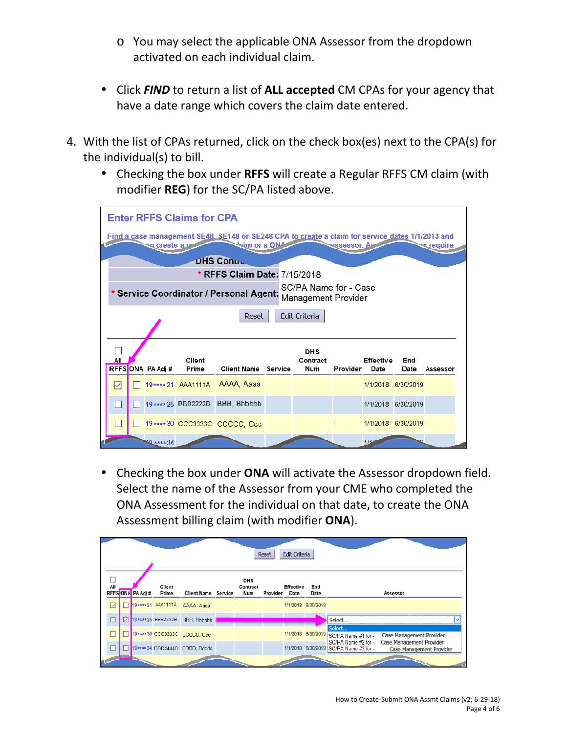- o You may select the applicable ONA Assessor from the dropdown activated on each individual claim.
- Click *FIND* to return a list of **ALL accepted** CM CPAs for your agency that have a date range which covers the claim date entered.
- 4. With the list of CPAs returned, click on the check box(es) next to the CPA(s) for the individual(s) to bill.
	- Checking the box under **RFFS** will create a Regular RFFS CM claim (with modifier **REG**) for the SC/PA listed above.

| <b>Enter RFFS Claims for CPA</b>                                                                                                                                                            |  |                  |                     |                                              |  |                        |          |                  |                    |         |  |  |  |
|---------------------------------------------------------------------------------------------------------------------------------------------------------------------------------------------|--|------------------|---------------------|----------------------------------------------|--|------------------------|----------|------------------|--------------------|---------|--|--|--|
| Find a case management SE48, SE148 or SE248 CPA to create a claim for service dates 1/1/2013 and<br><del>sa create a <b>sa</b></del><br>⊠eim or a ON≜<br><u>es</u> require<br>ressessor. As |  |                  |                     |                                              |  |                        |          |                  |                    |         |  |  |  |
| DHS Conuc                                                                                                                                                                                   |  |                  |                     |                                              |  |                        |          |                  |                    |         |  |  |  |
|                                                                                                                                                                                             |  |                  |                     | * RFFS Claim Date: 7/15/2018                 |  |                        |          |                  |                    |         |  |  |  |
|                                                                                                                                                                                             |  |                  |                     |                                              |  | SC/PA Name for - Case  |          |                  |                    |         |  |  |  |
|                                                                                                                                                                                             |  |                  |                     | <b>Service Coordinator / Personal Agent:</b> |  | Management Provider    |          |                  |                    |         |  |  |  |
|                                                                                                                                                                                             |  |                  |                     | Reset                                        |  | Edit Criteria          |          |                  |                    |         |  |  |  |
|                                                                                                                                                                                             |  |                  |                     |                                              |  |                        |          |                  |                    |         |  |  |  |
|                                                                                                                                                                                             |  |                  |                     |                                              |  |                        |          |                  |                    |         |  |  |  |
| All                                                                                                                                                                                         |  |                  | <b>Client</b>       |                                              |  | <b>DHS</b><br>Contract |          | <b>Effective</b> | <b>End</b>         |         |  |  |  |
|                                                                                                                                                                                             |  | RFFSONA PA Adj # | Prime               | <b>Client Name Service</b>                   |  | Num                    | Provider | Date             | Date               | Assesso |  |  |  |
| ☑                                                                                                                                                                                           |  |                  |                     | 19**** 21 AAA1111A AAAA, Aaaa                |  |                        |          |                  | 1/1/2018 6/30/2019 |         |  |  |  |
|                                                                                                                                                                                             |  |                  | 19 **** 25 BBB2222B | BBB, Bbbbbb                                  |  |                        |          |                  | 1/1/2018 6/30/2019 |         |  |  |  |
|                                                                                                                                                                                             |  |                  |                     | 19**** 30 CCC3333C CCCCC. Ccc                |  |                        |          |                  | 1/1/2018 6/30/2019 |         |  |  |  |
|                                                                                                                                                                                             |  | $0***34$         |                     |                                              |  |                        |          | $111 -$          |                    |         |  |  |  |

• Checking the box under **ONA** will activate the Assessor dropdown field. Select the name of the Assessor from your CME who completed the ONA Assessment for the individual on that date, to create the ONA Assessment billing claim (with modifier **ONA**).

| Edit Criteria<br>Reset                                                                                                                                        |                     |  |                    |                                |  |  |  |  |                    |                                                                |                                                      |  |
|---------------------------------------------------------------------------------------------------------------------------------------------------------------|---------------------|--|--------------------|--------------------------------|--|--|--|--|--------------------|----------------------------------------------------------------|------------------------------------------------------|--|
| <b>DHS</b><br>All<br>Client<br>Effective<br>End<br>Contract<br>RFFSONA PA Adi#<br>Prime<br>Client Name Service<br>Provider<br>Num<br>Date<br>Date<br>Assessor |                     |  |                    |                                |  |  |  |  |                    |                                                                |                                                      |  |
| ☑                                                                                                                                                             |                     |  |                    | 19 **** 21 ААА1111А ДАДА, Дааа |  |  |  |  | 1/1/2018 6/30/2019 |                                                                |                                                      |  |
|                                                                                                                                                               | $\overline{\nabla}$ |  | 19**** 25 BBB2222B | <b>BBB Bbbbbb</b>              |  |  |  |  |                    | Select.                                                        |                                                      |  |
|                                                                                                                                                               |                     |  |                    | 19 **** 30 CCC3333C CCCCC, Ccc |  |  |  |  | 1/1/2018 6/30/2019 | Select<br>SC/PA Name #1 for -                                  | Case Management Provider                             |  |
|                                                                                                                                                               |                     |  |                    | 19**** 34 DDD4444D DDDD, Ddddd |  |  |  |  |                    | ISC/PA Name #2 for -<br>1/1/2018 6/30/2019 SC/PA Name #3 for - | Case Management Provider<br>Case Management Provider |  |
|                                                                                                                                                               |                     |  |                    |                                |  |  |  |  |                    |                                                                |                                                      |  |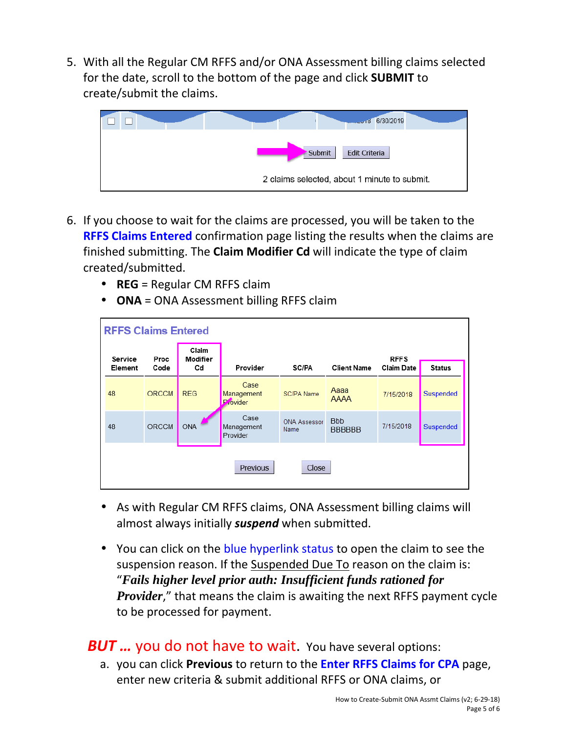5. With all the Regular CM RFFS and/or ONA Assessment billing claims selected for the date, scroll to the bottom of the page and click **SUBMIT** to create/submit the claims.



- 6. If you choose to wait for the claims are processed, you will be taken to the **RFFS Claims Entered** confirmation page listing the results when the claims are finished submitting. The **Claim Modifier Cd** will indicate the type of claim created/submitted.
	- **REG** = Regular CM RFFS claim
	- **ONA** = ONA Assessment billing RFFS claim

| <b>RFFS Claims Entered</b> |              |                         |                                |                             |                             |                                  |                  |  |  |  |
|----------------------------|--------------|-------------------------|--------------------------------|-----------------------------|-----------------------------|----------------------------------|------------------|--|--|--|
| Service<br>Element         | Proc<br>Code | Claim<br>Modifier<br>Cd | Provider                       | SC/PA                       | <b>Client Name</b>          | <b>RFFS</b><br><b>Claim Date</b> | <b>Status</b>    |  |  |  |
| 48                         | <b>ORCCM</b> | <b>REG</b>              | Case<br>Management<br>Provider | SC/PA Name                  | Aaaa<br><b>AAAA</b>         | 7/15/2018                        | Suspended        |  |  |  |
| 48                         | ORCCM        | <b>ONA</b>              | Case<br>Management<br>Provider | <b>ONA Assessor</b><br>Name | <b>Bbb</b><br><b>BBBBBB</b> | 7/15/2018                        | <b>Suspended</b> |  |  |  |
| <b>Previous</b><br>Close   |              |                         |                                |                             |                             |                                  |                  |  |  |  |

- As with Regular CM RFFS claims, ONA Assessment billing claims will almost always initially *suspend* when submitted.
- You can click on the blue hyperlink status to open the claim to see the suspension reason. If the Suspended Due To reason on the claim is: "*Fails higher level prior auth: Insufficient funds rationed for Provider*," that means the claim is awaiting the next RFFS payment cycle to be processed for payment.

## **BUT ...** you do not have to wait. You have several options:

a. you can click **Previous** to return to the **Enter RFFS Claims for CPA** page, enter new criteria & submit additional RFFS or ONA claims, or